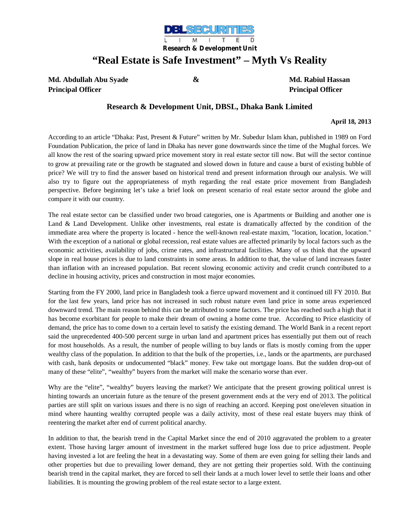

## **"Real Estate is Safe Investment" – Myth Vs Reality**

| Md. Abdullah Abu Syade   | <b>Md. Rabiul Hassan</b> |
|--------------------------|--------------------------|
| <b>Principal Officer</b> | <b>Principal Officer</b> |

## **Research & Development Unit, DBSL, Dhaka Bank Limited**

## **April 18, 2013**

According to an article "Dhaka: Past, Present & Future" written by Mr. Subedur Islam khan, published in 1989 on Ford Foundation Publication, the price of land in Dhaka has never gone downwards since the time of the Mughal forces. We all know the rest of the soaring upward price movement story in real estate sector till now. But will the sector continue to grow at prevailing rate or the growth be stagnated and slowed down in future and cause a burst of existing bubble of price? We will try to find the answer based on historical trend and present information through our analysis. We will also try to figure out the appropriateness of myth regarding the real estate price movement from Bangladesh perspective. Before beginning let's take a brief look on present scenario of real estate sector around the globe and compare it with our country.

The real estate sector can be classified under two broad categories, one is Apartments or Building and another one is Land & Land Development. Unlike other investments, real estate is dramatically affected by the condition of the immediate area where the property is located - hence the well-known real-estate maxim, "location, location, location." With the exception of a national or global recession, real estate values are affected primarily by local factors such as the economic activities, availability of jobs, crime rates, and infrastructural facilities. Many of us think that the upward slope in real house prices is due to land constraints in some areas. In addition to that, the value of land increases faster than inflation with an increased population. But recent slowing economic activity and credit crunch contributed to a decline in housing activity, prices and construction in most major economies.

Starting from the FY 2000, land price in Bangladesh took a fierce upward movement and it continued till FY 2010. But for the last few years, land price has not increased in such robust nature even land price in some areas experienced downward trend. The main reason behind this can be attributed to some factors. The price has reached such a high that it has become exorbitant for people to make their dream of owning a home come true. According to Price elasticity of demand, the price has to come down to a certain level to satisfy the existing demand. The World Bank in a recent report said the unprecedented 400-500 percent surge in urban land and apartment prices has essentially put them out of reach for most households. As a result, the number of people willing to buy lands or flats is mostly coming from the upper wealthy class of the population. In addition to that the bulk of the properties, i.e., lands or the apartments, are purchased with cash, bank deposits or undocumented "black" money. Few take out mortgage loans. But the sudden drop-out of many of these "elite", "wealthy" buyers from the market will make the scenario worse than ever.

Why are the "elite", "wealthy" buyers leaving the market? We anticipate that the present growing political unrest is hinting towards an uncertain future as the tenure of the present government ends at the very end of 2013. The political parties are still split on various issues and there is no sign of reaching an accord. Keeping post one/eleven situation in mind where haunting wealthy corrupted people was a daily activity, most of these real estate buyers may think of reentering the market after end of current political anarchy.

In addition to that, the bearish trend in the Capital Market since the end of 2010 aggravated the problem to a greater extent. Those having larger amount of investment in the market suffered huge loss due to price adjustment. People having invested a lot are feeling the heat in a devastating way. Some of them are even going for selling their lands and other properties but due to prevailing lower demand, they are not getting their properties sold. With the continuing bearish trend in the capital market, they are forced to sell their lands at a much lower level to settle their loans and other liabilities. It is mounting the growing problem of the real estate sector to a large extent.